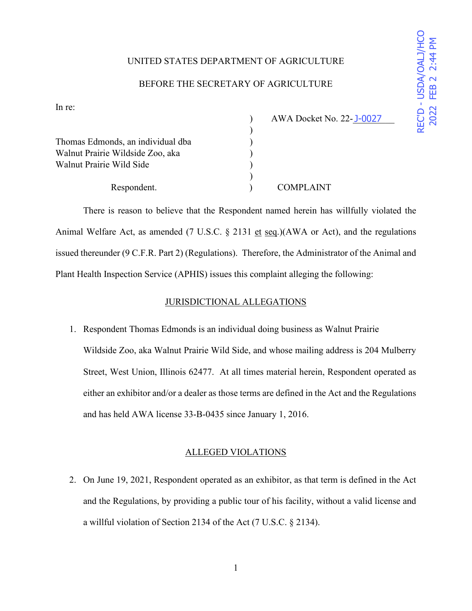# REC'D - USDA/OALJ/HCC ' 86'\$2\$/-+&2 2022 FEB 22:44 P 0

## UNITED STATES DEPARTMENT OF AGRICULTURE

## BEFORE THE SECRETARY OF AGRICULTURE

In re:

|                                   | AWA Docket No. 22-J-0027 |  |
|-----------------------------------|--------------------------|--|
|                                   |                          |  |
| Thomas Edmonds, an individual dba |                          |  |
| Walnut Prairie Wildside Zoo, aka  |                          |  |
| Walnut Prairie Wild Side          |                          |  |
|                                   |                          |  |
| Respondent.                       | <b>COMPLAINT</b>         |  |

There is reason to believe that the Respondent named herein has willfully violated the Animal Welfare Act, as amended (7 U.S.C. § 2131 et seq.)(AWA or Act), and the regulations issued thereunder (9 C.F.R. Part 2) (Regulations). Therefore, the Administrator of the Animal and Plant Health Inspection Service (APHIS) issues this complaint alleging the following:

# JURISDICTIONAL ALLEGATIONS

1. Respondent Thomas Edmonds is an individual doing business as Walnut Prairie Wildside Zoo, aka Walnut Prairie Wild Side, and whose mailing address is 204 Mulberry Street, West Union, Illinois 62477. At all times material herein, Respondent operated as either an exhibitor and/or a dealer as those terms are defined in the Act and the Regulations and has held AWA license 33-B-0435 since January 1, 2016.

## ALLEGED VIOLATIONS

2. On June 19, 2021, Respondent operated as an exhibitor, as that term is defined in the Act and the Regulations, by providing a public tour of his facility, without a valid license and a willful violation of Section 2134 of the Act (7 U.S.C. § 2134).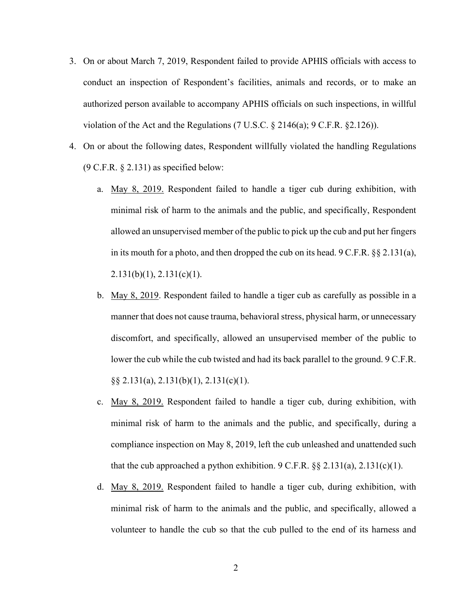- 3. On or about March 7, 2019, Respondent failed to provide APHIS officials with access to conduct an inspection of Respondent's facilities, animals and records, or to make an authorized person available to accompany APHIS officials on such inspections, in willful violation of the Act and the Regulations (7 U.S.C.  $\S$  2146(a); 9 C.F.R.  $\S$ 2.126)).
- 4. On or about the following dates, Respondent willfully violated the handling Regulations  $(9 \text{ C.F.R. } § 2.131)$  as specified below:
	- a. May 8, 2019. Respondent failed to handle a tiger cub during exhibition, with minimal risk of harm to the animals and the public, and specifically, Respondent allowed an unsupervised member of the public to pick up the cub and put her fingers in its mouth for a photo, and then dropped the cub on its head. 9 C.F.R. §§ 2.131(a),  $2.131(b)(1)$ ,  $2.131(c)(1)$ .
	- b. May 8, 2019. Respondent failed to handle a tiger cub as carefully as possible in a manner that does not cause trauma, behavioral stress, physical harm, or unnecessary discomfort, and specifically, allowed an unsupervised member of the public to lower the cub while the cub twisted and had its back parallel to the ground. 9 C.F.R. §§ 2.131(a), 2.131(b)(1), 2.131(c)(1).
	- c. May 8, 2019. Respondent failed to handle a tiger cub, during exhibition, with minimal risk of harm to the animals and the public, and specifically, during a compliance inspection on May 8, 2019, left the cub unleashed and unattended such that the cub approached a python exhibition. 9 C.F.R.  $\S$  2.131(a), 2.131(c)(1).
	- d. May 8, 2019. Respondent failed to handle a tiger cub, during exhibition, with minimal risk of harm to the animals and the public, and specifically, allowed a volunteer to handle the cub so that the cub pulled to the end of its harness and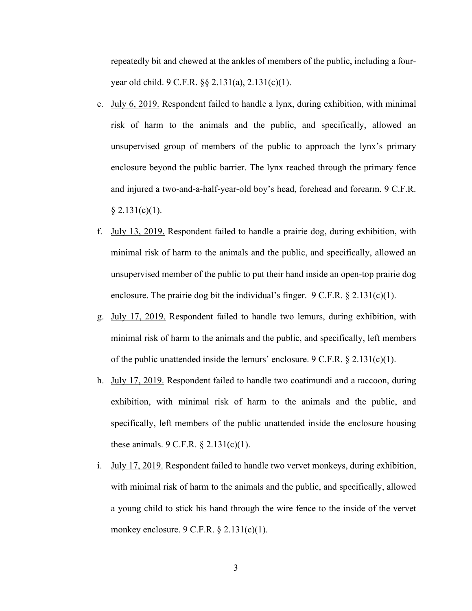repeatedly bit and chewed at the ankles of members of the public, including a fouryear old child. 9 C.F.R. §§ 2.131(a), 2.131(c)(1).

- e. July 6, 2019. Respondent failed to handle a lynx, during exhibition, with minimal risk of harm to the animals and the public, and specifically, allowed an unsupervised group of members of the public to approach the lynx's primary enclosure beyond the public barrier. The lynx reached through the primary fence and injured a two-and-a-half-year-old boy's head, forehead and forearm. 9 C.F.R.  $§ 2.131(c)(1).$
- f. July 13, 2019. Respondent failed to handle a prairie dog, during exhibition, with minimal risk of harm to the animals and the public, and specifically, allowed an unsupervised member of the public to put their hand inside an open-top prairie dog enclosure. The prairie dog bit the individual's finger.  $9 \text{ C.F.R.}$  § 2.131(c)(1).
- g. July 17, 2019. Respondent failed to handle two lemurs, during exhibition, with minimal risk of harm to the animals and the public, and specifically, left members of the public unattended inside the lemurs' enclosure. 9 C.F.R. § 2.131(c)(1).
- h. July 17, 2019. Respondent failed to handle two coatimundi and a raccoon, during exhibition, with minimal risk of harm to the animals and the public, and specifically, left members of the public unattended inside the enclosure housing these animals.  $9 \text{ C.F.R.} \$   $2.131(c)(1)$ .
- i. July 17, 2019. Respondent failed to handle two vervet monkeys, during exhibition, with minimal risk of harm to the animals and the public, and specifically, allowed a young child to stick his hand through the wire fence to the inside of the vervet monkey enclosure. 9 C.F.R. § 2.131(c)(1).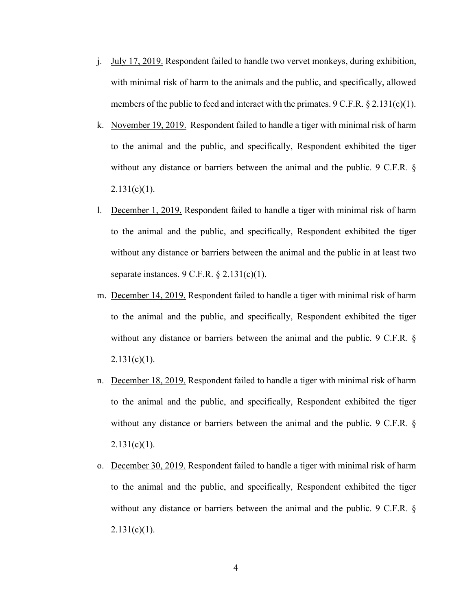- j. July 17, 2019. Respondent failed to handle two vervet monkeys, during exhibition, with minimal risk of harm to the animals and the public, and specifically, allowed members of the public to feed and interact with the primates.  $9 \text{ C.F.R.} \$  $2.131(c)(1)$ .
- k. November 19, 2019. Respondent failed to handle a tiger with minimal risk of harm to the animal and the public, and specifically, Respondent exhibited the tiger without any distance or barriers between the animal and the public. 9 C.F.R. §  $2.131(c)(1)$ .
- l. December 1, 2019. Respondent failed to handle a tiger with minimal risk of harm to the animal and the public, and specifically, Respondent exhibited the tiger without any distance or barriers between the animal and the public in at least two separate instances.  $9 \text{ C.F.R.}$  §  $2.131(c)(1)$ .
- m. December 14, 2019. Respondent failed to handle a tiger with minimal risk of harm to the animal and the public, and specifically, Respondent exhibited the tiger without any distance or barriers between the animal and the public. 9 C.F.R. §  $2.131(c)(1)$ .
- n. December 18, 2019. Respondent failed to handle a tiger with minimal risk of harm to the animal and the public, and specifically, Respondent exhibited the tiger without any distance or barriers between the animal and the public. 9 C.F.R. §  $2.131(c)(1)$ .
- o. December 30, 2019. Respondent failed to handle a tiger with minimal risk of harm to the animal and the public, and specifically, Respondent exhibited the tiger without any distance or barriers between the animal and the public. 9 C.F.R. §  $2.131(c)(1)$ .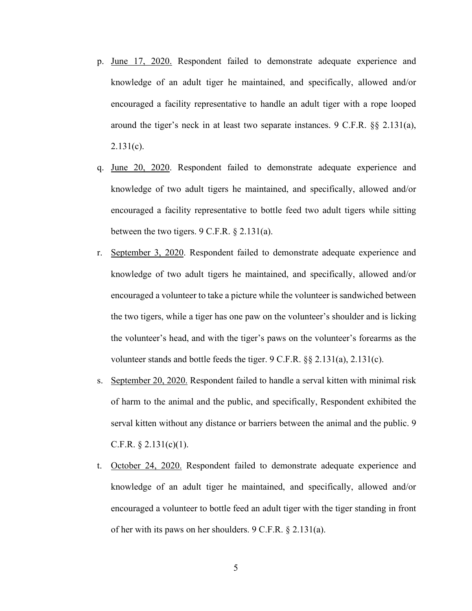- p. June 17, 2020. Respondent failed to demonstrate adequate experience and knowledge of an adult tiger he maintained, and specifically, allowed and/or encouraged a facility representative to handle an adult tiger with a rope looped around the tiger's neck in at least two separate instances. 9 C.F.R. §§ 2.131(a),  $2.131(c)$ .
- q. June 20, 2020. Respondent failed to demonstrate adequate experience and knowledge of two adult tigers he maintained, and specifically, allowed and/or encouraged a facility representative to bottle feed two adult tigers while sitting between the two tigers.  $9 \text{ C.F.R.}$  § 2.131(a).
- r. September 3, 2020. Respondent failed to demonstrate adequate experience and knowledge of two adult tigers he maintained, and specifically, allowed and/or encouraged a volunteer to take a picture while the volunteer is sandwiched between the two tigers, while a tiger has one paw on the volunteer's shoulder and is licking the volunteer's head, and with the tiger's paws on the volunteer's forearms as the volunteer stands and bottle feeds the tiger. 9 C.F.R. §§ 2.131(a), 2.131(c).
- s. September 20, 2020. Respondent failed to handle a serval kitten with minimal risk of harm to the animal and the public, and specifically, Respondent exhibited the serval kitten without any distance or barriers between the animal and the public. 9 C.F.R.  $\S$  2.131(c)(1).
- t. October 24, 2020. Respondent failed to demonstrate adequate experience and knowledge of an adult tiger he maintained, and specifically, allowed and/or encouraged a volunteer to bottle feed an adult tiger with the tiger standing in front of her with its paws on her shoulders. 9 C.F.R. § 2.131(a).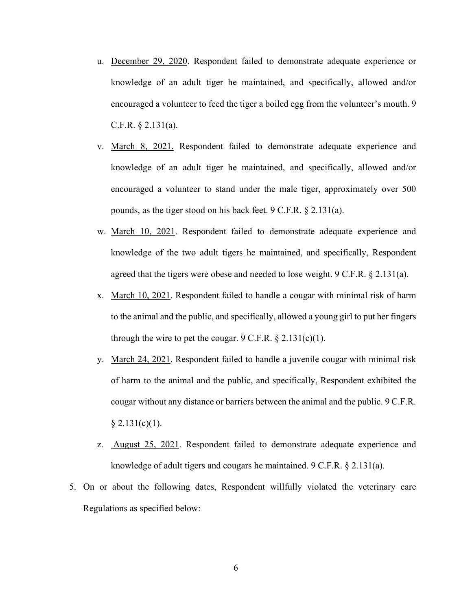- u. December 29, 2020. Respondent failed to demonstrate adequate experience or knowledge of an adult tiger he maintained, and specifically, allowed and/or encouraged a volunteer to feed the tiger a boiled egg from the volunteer's mouth. 9 C.F.R. § 2.131(a).
- v. March 8, 2021. Respondent failed to demonstrate adequate experience and knowledge of an adult tiger he maintained, and specifically, allowed and/or encouraged a volunteer to stand under the male tiger, approximately over 500 pounds, as the tiger stood on his back feet. 9 C.F.R. § 2.131(a).
- w. March 10, 2021. Respondent failed to demonstrate adequate experience and knowledge of the two adult tigers he maintained, and specifically, Respondent agreed that the tigers were obese and needed to lose weight.  $9 \text{ C.F.R.} \$   $2.131(a)$ .
- x. March 10, 2021. Respondent failed to handle a cougar with minimal risk of harm to the animal and the public, and specifically, allowed a young girl to put her fingers through the wire to pet the cougar.  $9 \text{ C.F.R.} \$   $2.131(c)(1)$ .
- y. March 24, 2021. Respondent failed to handle a juvenile cougar with minimal risk of harm to the animal and the public, and specifically, Respondent exhibited the cougar without any distance or barriers between the animal and the public. 9 C.F.R.  $§ 2.131(c)(1).$
- z. August 25, 2021. Respondent failed to demonstrate adequate experience and knowledge of adult tigers and cougars he maintained. 9 C.F.R. § 2.131(a).
- 5. On or about the following dates, Respondent willfully violated the veterinary care Regulations as specified below: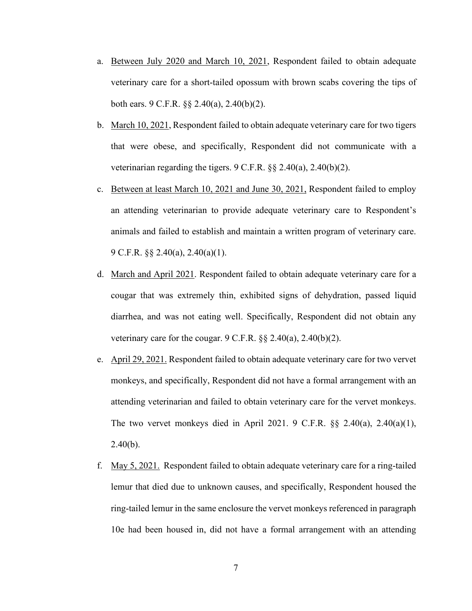- a. Between July 2020 and March 10, 2021, Respondent failed to obtain adequate veterinary care for a short-tailed opossum with brown scabs covering the tips of both ears. 9 C.F.R. §§ 2.40(a), 2.40(b)(2).
- b. March 10, 2021, Respondent failed to obtain adequate veterinary care for two tigers that were obese, and specifically, Respondent did not communicate with a veterinarian regarding the tigers. 9 C.F.R. §§ 2.40(a), 2.40(b)(2).
- c. Between at least March 10, 2021 and June 30, 2021, Respondent failed to employ an attending veterinarian to provide adequate veterinary care to Respondent's animals and failed to establish and maintain a written program of veterinary care. 9 C.F.R. §§ 2.40(a), 2.40(a)(1).
- d. March and April 2021. Respondent failed to obtain adequate veterinary care for a cougar that was extremely thin, exhibited signs of dehydration, passed liquid diarrhea, and was not eating well. Specifically, Respondent did not obtain any veterinary care for the cougar.  $9 \text{ C.F.R.}$  §§ 2.40(a), 2.40(b)(2).
- e. April 29, 2021. Respondent failed to obtain adequate veterinary care for two vervet monkeys, and specifically, Respondent did not have a formal arrangement with an attending veterinarian and failed to obtain veterinary care for the vervet monkeys. The two vervet monkeys died in April 2021. 9 C.F.R.  $\S$  2.40(a), 2.40(a)(1),  $2.40(b)$ .
- f. May 5, 2021. Respondent failed to obtain adequate veterinary care for a ring-tailed lemur that died due to unknown causes, and specifically, Respondent housed the ring-tailed lemur in the same enclosure the vervet monkeys referenced in paragraph 10e had been housed in, did not have a formal arrangement with an attending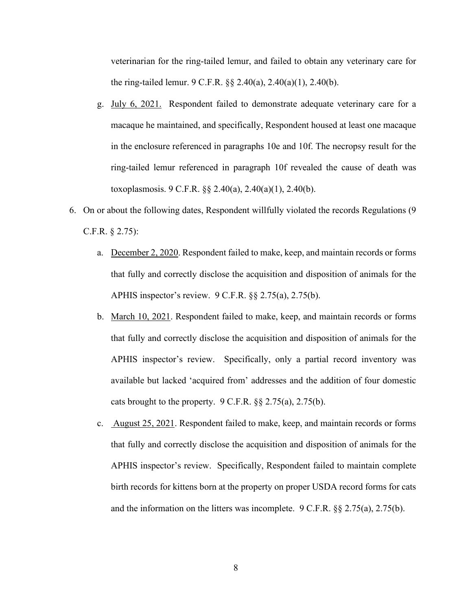veterinarian for the ring-tailed lemur, and failed to obtain any veterinary care for the ring-tailed lemur. 9 C.F.R. §§ 2.40(a), 2.40(a)(1), 2.40(b).

- g. July 6, 2021. Respondent failed to demonstrate adequate veterinary care for a macaque he maintained, and specifically, Respondent housed at least one macaque in the enclosure referenced in paragraphs 10e and 10f. The necropsy result for the ring-tailed lemur referenced in paragraph 10f revealed the cause of death was toxoplasmosis. 9 C.F.R. §§ 2.40(a), 2.40(a)(1), 2.40(b).
- 6. On or about the following dates, Respondent willfully violated the records Regulations (9 C.F.R. § 2.75):
	- a. December 2, 2020. Respondent failed to make, keep, and maintain records or forms that fully and correctly disclose the acquisition and disposition of animals for the APHIS inspector's review. 9 C.F.R. §§ 2.75(a), 2.75(b).
	- b. March 10, 2021. Respondent failed to make, keep, and maintain records or forms that fully and correctly disclose the acquisition and disposition of animals for the APHIS inspector's review. Specifically, only a partial record inventory was available but lacked 'acquired from' addresses and the addition of four domestic cats brought to the property. 9 C.F.R. §§ 2.75(a), 2.75(b).
	- c. August 25, 2021. Respondent failed to make, keep, and maintain records or forms that fully and correctly disclose the acquisition and disposition of animals for the APHIS inspector's review. Specifically, Respondent failed to maintain complete birth records for kittens born at the property on proper USDA record forms for cats and the information on the litters was incomplete. 9 C.F.R. §§ 2.75(a), 2.75(b).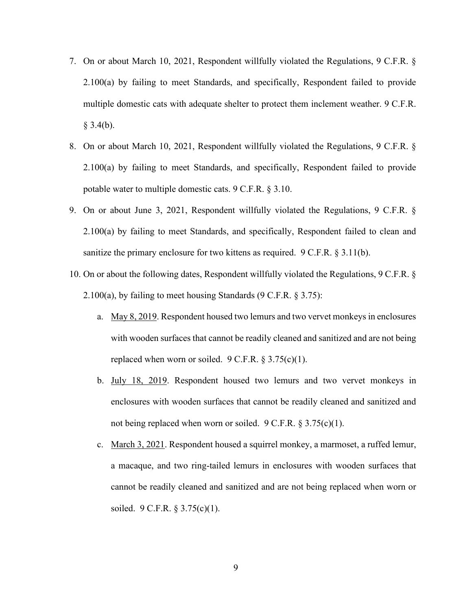- 7. On or about March 10, 2021, Respondent willfully violated the Regulations, 9 C.F.R. § 2.100(a) by failing to meet Standards, and specifically, Respondent failed to provide multiple domestic cats with adequate shelter to protect them inclement weather. 9 C.F.R.  $§$  3.4(b).
- 8. On or about March 10, 2021, Respondent willfully violated the Regulations, 9 C.F.R. § 2.100(a) by failing to meet Standards, and specifically, Respondent failed to provide potable water to multiple domestic cats. 9 C.F.R. § 3.10.
- 9. On or about June 3, 2021, Respondent willfully violated the Regulations, 9 C.F.R. § 2.100(a) by failing to meet Standards, and specifically, Respondent failed to clean and sanitize the primary enclosure for two kittens as required. 9 C.F.R. § 3.11(b).
- 10. On or about the following dates, Respondent willfully violated the Regulations, 9 C.F.R. § 2.100(a), by failing to meet housing Standards (9 C.F.R. § 3.75):
	- a. May 8, 2019. Respondent housed two lemurs and two vervet monkeys in enclosures with wooden surfaces that cannot be readily cleaned and sanitized and are not being replaced when worn or soiled.  $9 \text{ C.F.R.}$  § 3.75(c)(1).
	- b. July 18, 2019. Respondent housed two lemurs and two vervet monkeys in enclosures with wooden surfaces that cannot be readily cleaned and sanitized and not being replaced when worn or soiled. 9 C.F.R. § 3.75(c)(1).
	- c. March 3, 2021. Respondent housed a squirrel monkey, a marmoset, a ruffed lemur, a macaque, and two ring-tailed lemurs in enclosures with wooden surfaces that cannot be readily cleaned and sanitized and are not being replaced when worn or soiled. 9 C.F.R. § 3.75(c)(1).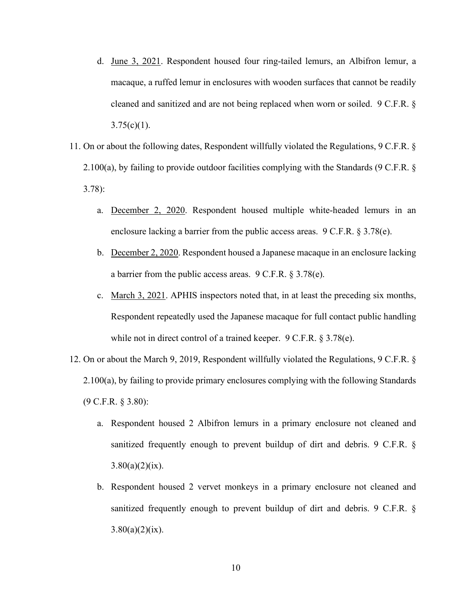- d. June 3, 2021. Respondent housed four ring-tailed lemurs, an Albifron lemur, a macaque, a ruffed lemur in enclosures with wooden surfaces that cannot be readily cleaned and sanitized and are not being replaced when worn or soiled. 9 C.F.R. §  $3.75(c)(1)$ .
- 11. On or about the following dates, Respondent willfully violated the Regulations, 9 C.F.R. § 2.100(a), by failing to provide outdoor facilities complying with the Standards (9 C.F.R. § 3.78):
	- a. December 2, 2020. Respondent housed multiple white-headed lemurs in an enclosure lacking a barrier from the public access areas. 9 C.F.R. § 3.78(e).
	- b. December 2, 2020. Respondent housed a Japanese macaque in an enclosure lacking a barrier from the public access areas. 9 C.F.R. § 3.78(e).
	- c. March 3, 2021. APHIS inspectors noted that, in at least the preceding six months, Respondent repeatedly used the Japanese macaque for full contact public handling while not in direct control of a trained keeper. 9 C.F.R. § 3.78(e).
- 12. On or about the March 9, 2019, Respondent willfully violated the Regulations, 9 C.F.R. § 2.100(a), by failing to provide primary enclosures complying with the following Standards (9 C.F.R. § 3.80):
	- a. Respondent housed 2 Albifron lemurs in a primary enclosure not cleaned and sanitized frequently enough to prevent buildup of dirt and debris. 9 C.F.R. §  $3.80(a)(2)(ix)$ .
	- b. Respondent housed 2 vervet monkeys in a primary enclosure not cleaned and sanitized frequently enough to prevent buildup of dirt and debris. 9 C.F.R. §  $3.80(a)(2)(ix)$ .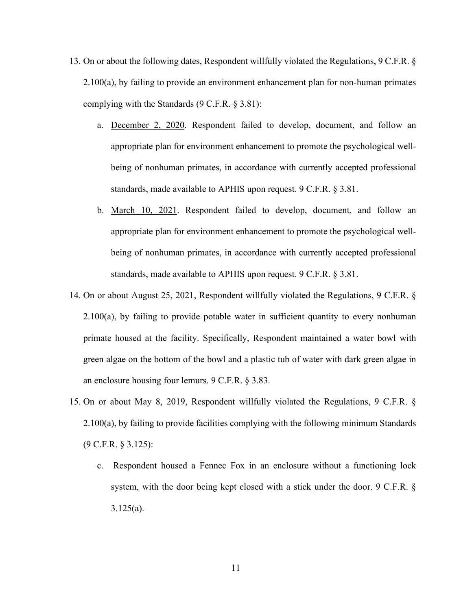- 13. On or about the following dates, Respondent willfully violated the Regulations, 9 C.F.R. § 2.100(a), by failing to provide an environment enhancement plan for non-human primates complying with the Standards (9 C.F.R. § 3.81):
	- a. December 2, 2020. Respondent failed to develop, document, and follow an appropriate plan for environment enhancement to promote the psychological wellbeing of nonhuman primates, in accordance with currently accepted professional standards, made available to APHIS upon request. 9 C.F.R. § 3.81.
	- b. March 10, 2021. Respondent failed to develop, document, and follow an appropriate plan for environment enhancement to promote the psychological wellbeing of nonhuman primates, in accordance with currently accepted professional standards, made available to APHIS upon request. 9 C.F.R. § 3.81.
- 14. On or about August 25, 2021, Respondent willfully violated the Regulations, 9 C.F.R. § 2.100(a), by failing to provide potable water in sufficient quantity to every nonhuman primate housed at the facility. Specifically, Respondent maintained a water bowl with green algae on the bottom of the bowl and a plastic tub of water with dark green algae in an enclosure housing four lemurs. 9 C.F.R. § 3.83.
- 15. On or about May 8, 2019, Respondent willfully violated the Regulations, 9 C.F.R. § 2.100(a), by failing to provide facilities complying with the following minimum Standards (9 C.F.R. § 3.125):
	- c. Respondent housed a Fennec Fox in an enclosure without a functioning lock system, with the door being kept closed with a stick under the door. 9 C.F.R. § 3.125(a).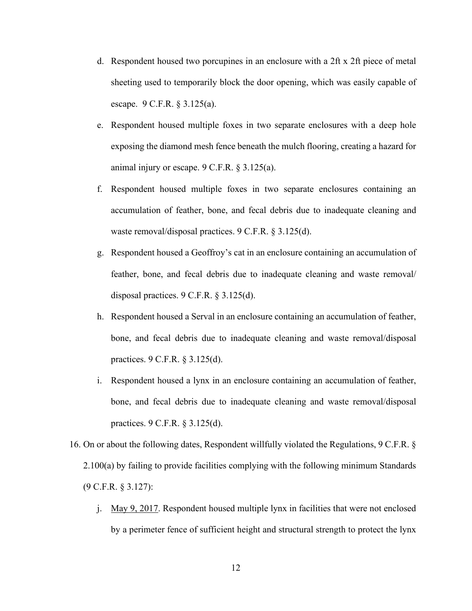- d. Respondent housed two porcupines in an enclosure with a 2ft x 2ft piece of metal sheeting used to temporarily block the door opening, which was easily capable of escape. 9 C.F.R. § 3.125(a).
- e. Respondent housed multiple foxes in two separate enclosures with a deep hole exposing the diamond mesh fence beneath the mulch flooring, creating a hazard for animal injury or escape. 9 C.F.R. § 3.125(a).
- f. Respondent housed multiple foxes in two separate enclosures containing an accumulation of feather, bone, and fecal debris due to inadequate cleaning and waste removal/disposal practices. 9 C.F.R. § 3.125(d).
- g. Respondent housed a Geoffroy's cat in an enclosure containing an accumulation of feather, bone, and fecal debris due to inadequate cleaning and waste removal/ disposal practices. 9 C.F.R. § 3.125(d).
- h. Respondent housed a Serval in an enclosure containing an accumulation of feather, bone, and fecal debris due to inadequate cleaning and waste removal/disposal practices. 9 C.F.R. § 3.125(d).
- i. Respondent housed a lynx in an enclosure containing an accumulation of feather, bone, and fecal debris due to inadequate cleaning and waste removal/disposal practices. 9 C.F.R. § 3.125(d).
- 16. On or about the following dates, Respondent willfully violated the Regulations, 9 C.F.R. § 2.100(a) by failing to provide facilities complying with the following minimum Standards (9 C.F.R. § 3.127):
	- j. May 9, 2017. Respondent housed multiple lynx in facilities that were not enclosed by a perimeter fence of sufficient height and structural strength to protect the lynx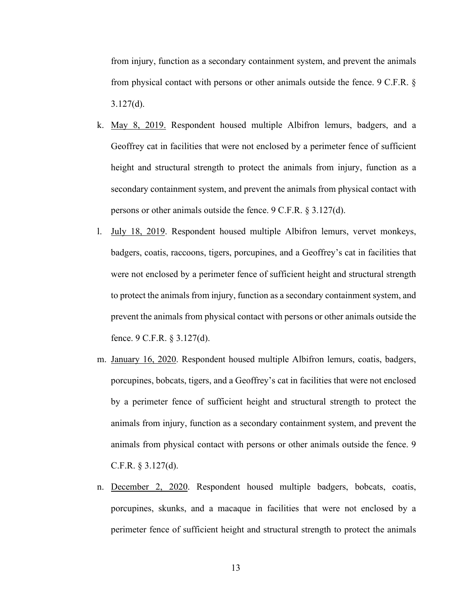from injury, function as a secondary containment system, and prevent the animals from physical contact with persons or other animals outside the fence. 9 C.F.R. § 3.127(d).

- k. May 8, 2019. Respondent housed multiple Albifron lemurs, badgers, and a Geoffrey cat in facilities that were not enclosed by a perimeter fence of sufficient height and structural strength to protect the animals from injury, function as a secondary containment system, and prevent the animals from physical contact with persons or other animals outside the fence. 9 C.F.R. § 3.127(d).
- l. July 18, 2019. Respondent housed multiple Albifron lemurs, vervet monkeys, badgers, coatis, raccoons, tigers, porcupines, and a Geoffrey's cat in facilities that were not enclosed by a perimeter fence of sufficient height and structural strength to protect the animals from injury, function as a secondary containment system, and prevent the animals from physical contact with persons or other animals outside the fence. 9 C.F.R. § 3.127(d).
- m. January 16, 2020. Respondent housed multiple Albifron lemurs, coatis, badgers, porcupines, bobcats, tigers, and a Geoffrey's cat in facilities that were not enclosed by a perimeter fence of sufficient height and structural strength to protect the animals from injury, function as a secondary containment system, and prevent the animals from physical contact with persons or other animals outside the fence. 9 C.F.R. § 3.127(d).
- n. December 2, 2020. Respondent housed multiple badgers, bobcats, coatis, porcupines, skunks, and a macaque in facilities that were not enclosed by a perimeter fence of sufficient height and structural strength to protect the animals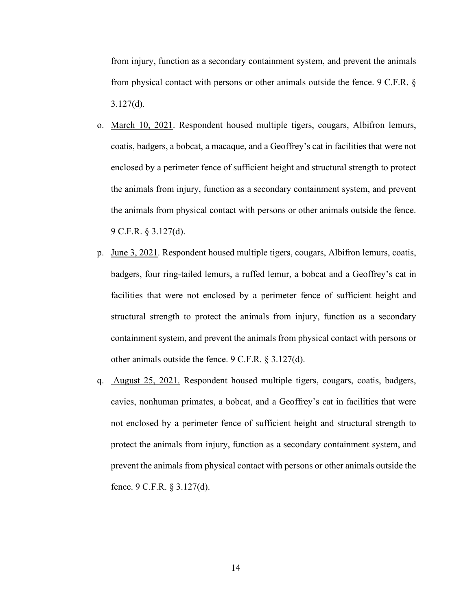from injury, function as a secondary containment system, and prevent the animals from physical contact with persons or other animals outside the fence. 9 C.F.R. § 3.127(d).

- o. March 10, 2021. Respondent housed multiple tigers, cougars, Albifron lemurs, coatis, badgers, a bobcat, a macaque, and a Geoffrey's cat in facilities that were not enclosed by a perimeter fence of sufficient height and structural strength to protect the animals from injury, function as a secondary containment system, and prevent the animals from physical contact with persons or other animals outside the fence. 9 C.F.R. § 3.127(d).
- p. June 3, 2021. Respondent housed multiple tigers, cougars, Albifron lemurs, coatis, badgers, four ring-tailed lemurs, a ruffed lemur, a bobcat and a Geoffrey's cat in facilities that were not enclosed by a perimeter fence of sufficient height and structural strength to protect the animals from injury, function as a secondary containment system, and prevent the animals from physical contact with persons or other animals outside the fence. 9 C.F.R. § 3.127(d).
- q. August 25, 2021. Respondent housed multiple tigers, cougars, coatis, badgers, cavies, nonhuman primates, a bobcat, and a Geoffrey's cat in facilities that were not enclosed by a perimeter fence of sufficient height and structural strength to protect the animals from injury, function as a secondary containment system, and prevent the animals from physical contact with persons or other animals outside the fence. 9 C.F.R. § 3.127(d).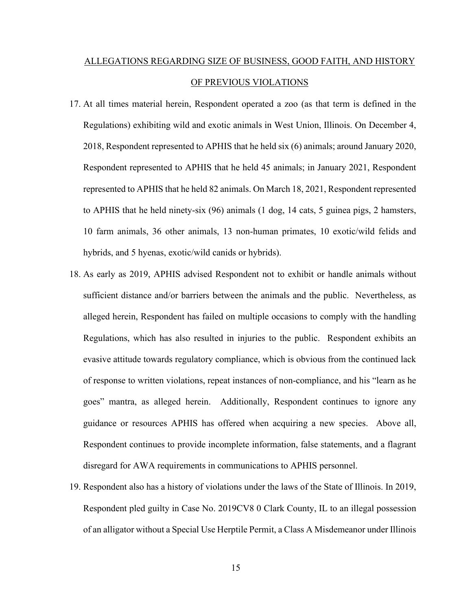# ALLEGATIONS REGARDING SIZE OF BUSINESS, GOOD FAITH, AND HISTORY OF PREVIOUS VIOLATIONS

- 17. At all times material herein, Respondent operated a zoo (as that term is defined in the Regulations) exhibiting wild and exotic animals in West Union, Illinois. On December 4, 2018, Respondent represented to APHIS that he held six (6) animals; around January 2020, Respondent represented to APHIS that he held 45 animals; in January 2021, Respondent represented to APHIS that he held 82 animals. On March 18, 2021, Respondent represented to APHIS that he held ninety-six (96) animals (1 dog, 14 cats, 5 guinea pigs, 2 hamsters, 10 farm animals, 36 other animals, 13 non-human primates, 10 exotic/wild felids and hybrids, and 5 hyenas, exotic/wild canids or hybrids).
- 18. As early as 2019, APHIS advised Respondent not to exhibit or handle animals without sufficient distance and/or barriers between the animals and the public. Nevertheless, as alleged herein, Respondent has failed on multiple occasions to comply with the handling Regulations, which has also resulted in injuries to the public. Respondent exhibits an evasive attitude towards regulatory compliance, which is obvious from the continued lack of response to written violations, repeat instances of non-compliance, and his "learn as he goes" mantra, as alleged herein. Additionally, Respondent continues to ignore any guidance or resources APHIS has offered when acquiring a new species. Above all, Respondent continues to provide incomplete information, false statements, and a flagrant disregard for AWA requirements in communications to APHIS personnel.
- 19. Respondent also has a history of violations under the laws of the State of Illinois. In 2019, Respondent pled guilty in Case No. 2019CV8 0 Clark County, IL to an illegal possession of an alligator without a Special Use Herptile Permit, a Class A Misdemeanor under Illinois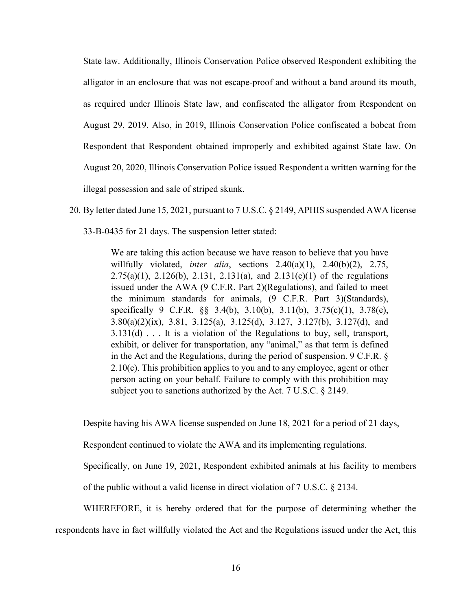State law. Additionally, Illinois Conservation Police observed Respondent exhibiting the alligator in an enclosure that was not escape-proof and without a band around its mouth, as required under Illinois State law, and confiscated the alligator from Respondent on August 29, 2019. Also, in 2019, Illinois Conservation Police confiscated a bobcat from Respondent that Respondent obtained improperly and exhibited against State law. On August 20, 2020, Illinois Conservation Police issued Respondent a written warning for the illegal possession and sale of striped skunk.

20. By letter dated June 15, 2021, pursuant to 7 U.S.C. § 2149, APHIS suspended AWA license 33-B-0435 for 21 days. The suspension letter stated:

> We are taking this action because we have reason to believe that you have willfully violated, *inter alia*, sections 2.40(a)(1), 2.40(b)(2), 2.75, 2.75(a)(1), 2.126(b), 2.131, 2.131(a), and 2.131(c)(1) of the regulations issued under the AWA (9 C.F.R. Part 2)(Regulations), and failed to meet the minimum standards for animals, (9 C.F.R. Part 3)(Standards), specifically 9 C.F.R. §§ 3.4(b), 3.10(b), 3.11(b), 3.75(c)(1), 3.78(e), 3.80(a)(2)(ix), 3.81, 3.125(a), 3.125(d), 3.127, 3.127(b), 3.127(d), and 3.131(d) . . . It is a violation of the Regulations to buy, sell, transport, exhibit, or deliver for transportation, any "animal," as that term is defined in the Act and the Regulations, during the period of suspension. 9 C.F.R. § 2.10(c). This prohibition applies to you and to any employee, agent or other person acting on your behalf. Failure to comply with this prohibition may subject you to sanctions authorized by the Act. 7 U.S.C. § 2149.

Despite having his AWA license suspended on June 18, 2021 for a period of 21 days,

Respondent continued to violate the AWA and its implementing regulations.

Specifically, on June 19, 2021, Respondent exhibited animals at his facility to members

of the public without a valid license in direct violation of 7 U.S.C. § 2134.

WHEREFORE, it is hereby ordered that for the purpose of determining whether the respondents have in fact willfully violated the Act and the Regulations issued under the Act, this